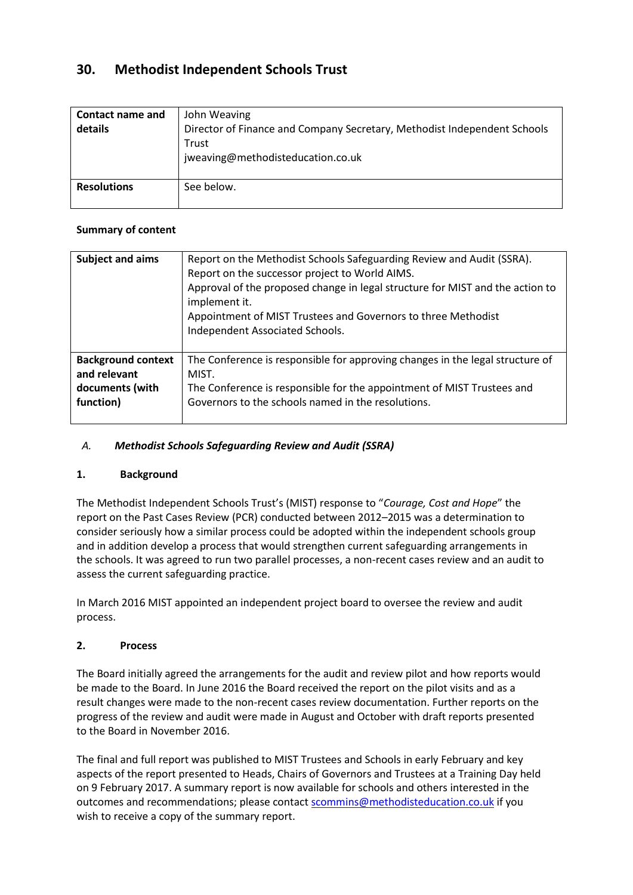# **30. Methodist Independent Schools Trust**

| Contact name and<br>details | John Weaving<br>Director of Finance and Company Secretary, Methodist Independent Schools<br>Trust<br>jweaving@methodisteducation.co.uk |
|-----------------------------|----------------------------------------------------------------------------------------------------------------------------------------|
| <b>Resolutions</b>          | See below.                                                                                                                             |

### **Summary of content**

| <b>Subject and aims</b>                                                   | Report on the Methodist Schools Safeguarding Review and Audit (SSRA).<br>Report on the successor project to World AIMS.<br>Approval of the proposed change in legal structure for MIST and the action to<br>implement it.<br>Appointment of MIST Trustees and Governors to three Methodist<br>Independent Associated Schools. |
|---------------------------------------------------------------------------|-------------------------------------------------------------------------------------------------------------------------------------------------------------------------------------------------------------------------------------------------------------------------------------------------------------------------------|
| <b>Background context</b><br>and relevant<br>documents (with<br>function) | The Conference is responsible for approving changes in the legal structure of<br>MIST.<br>The Conference is responsible for the appointment of MIST Trustees and<br>Governors to the schools named in the resolutions.                                                                                                        |
|                                                                           |                                                                                                                                                                                                                                                                                                                               |

# *A. Methodist Schools Safeguarding Review and Audit (SSRA)*

### **1. Background**

The Methodist Independent Schools Trust's (MIST) response to "*Courage, Cost and Hope*" the report on the Past Cases Review (PCR) conducted between 2012–2015 was a determination to consider seriously how a similar process could be adopted within the independent schools group and in addition develop a process that would strengthen current safeguarding arrangements in the schools. It was agreed to run two parallel processes, a non-recent cases review and an audit to assess the current safeguarding practice.

In March 2016 MIST appointed an independent project board to oversee the review and audit process.

### **2. Process**

The Board initially agreed the arrangements for the audit and review pilot and how reports would be made to the Board. In June 2016 the Board received the report on the pilot visits and as a result changes were made to the non-recent cases review documentation. Further reports on the progress of the review and audit were made in August and October with draft reports presented to the Board in November 2016.

The final and full report was published to MIST Trustees and Schools in early February and key aspects of the report presented to Heads, Chairs of Governors and Trustees at a Training Day held on 9 February 2017. A summary report is now available for schools and others interested in the outcomes and recommendations; please contac[t scommins@methodisteducation.co.uk](mailto:scommins@methodisteducation.co.uk) if you wish to receive a copy of the summary report.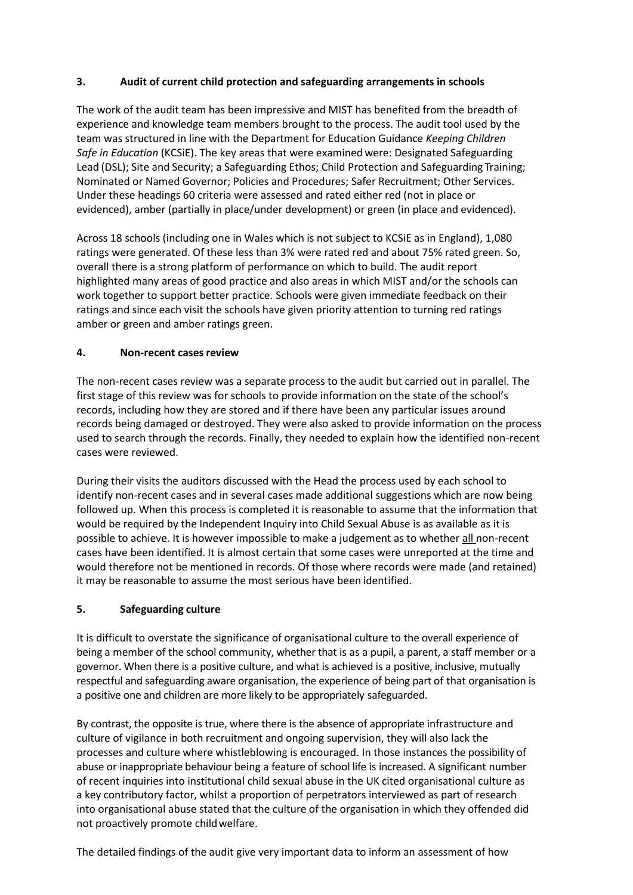### **3. Audit of current child protection and safeguarding arrangements in schools**

The work of the audit team has been impressive and MIST has benefited from the breadth of experience and knowledge team members brought to the process. The audit tool used by the team was structured in line with the Department for Education Guidance *Keeping Children Safe in Education* (KCSiE). The key areas that were examined were: Designated Safeguarding Lead (DSL); Site and Security; a Safeguarding Ethos; Child Protection and Safeguarding Training; Nominated or Named Governor; Policies and Procedures; Safer Recruitment; Other Services. Under these headings 60 criteria were assessed and rated either red (not in place or evidenced), amber (partially in place/under development) or green (in place and evidenced).

Across 18 schools (including one in Wales which is not subject to KCSiE as in England), 1,080 ratings were generated. Of these less than 3% were rated red and about 75% rated green. So, overall there is a strong platform of performance on which to build. The audit report highlighted many areas of good practice and also areas in which MIST and/or the schools can work together to support better practice*.* Schools were given immediate feedback on their ratings and since each visit the schools have given priority attention to turning red ratings amber or green and amber ratings green.

### **4. Non-recent casesreview**

The non-recent cases review was a separate process to the audit but carried out in parallel. The first stage of this review was for schools to provide information on the state of the school's records, including how they are stored and if there have been any particular issues around records being damaged or destroyed. They were also asked to provide information on the process used to search through the records. Finally, they needed to explain how the identified non-recent cases were reviewed.

During their visits the auditors discussed with the Head the process used by each school to identify non-recent cases and in several cases made additional suggestions which are now being followed up. When this process is completed it is reasonable to assume that the information that would be required by the Independent Inquiry into Child Sexual Abuse is as available as it is possible to achieve. It is however impossible to make a judgement as to whether all non-recent cases have been identified. It is almost certain that some cases were unreported at the time and would therefore not be mentioned in records. Of those where records were made (and retained) it may be reasonable to assume the most serious have been identified.

# **5. Safeguarding culture**

It is difficult to overstate the significance of organisational culture to the overall experience of being a member of the school community, whether that is as a pupil, a parent, a staff member or a governor. When there is a positive culture, and what is achieved is a positive, inclusive, mutually respectful and safeguarding aware organisation, the experience of being part of that organisation is a positive one and children are more likely to be appropriately safeguarded.

By contrast, the opposite is true, where there is the absence of appropriate infrastructure and culture of vigilance in both recruitment and ongoing supervision, they will also lack the processes and culture where whistleblowing is encouraged. In those instances the possibility of abuse or inappropriate behaviour being a feature of school life is increased. A significant number of recent inquiries into institutional child sexual abuse in the UK cited organisational culture as a key contributory factor, whilst a proportion of perpetrators interviewed as part of research into organisational abuse stated that the culture of the organisation in which they offended did not proactively promote childwelfare.

The detailed findings of the audit give very important data to inform an assessment of how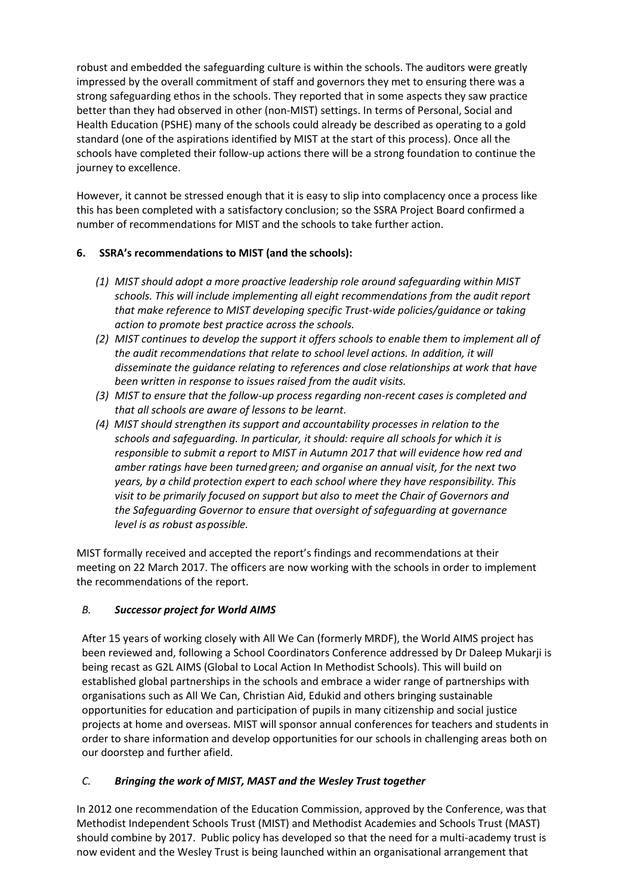robust and embedded the safeguarding culture is within the schools. The auditors were greatly impressed by the overall commitment of staff and governors they met to ensuring there was a strong safeguarding ethos in the schools. They reported that in some aspects they saw practice better than they had observed in other (non-MIST) settings. In terms of Personal, Social and Health Education (PSHE) many of the schools could already be described as operating to a gold standard (one of the aspirations identified by MIST at the start of this process). Once all the schools have completed their follow-up actions there will be a strong foundation to continue the journey to excellence.

However, it cannot be stressed enough that it is easy to slip into complacency once a process like this has been completed with a satisfactory conclusion; so the SSRA Project Board confirmed a number of recommendations for MIST and the schools to take further action.

# **6. SSRA's recommendations to MIST (and the schools):**

- *(1) MIST should adopt a more proactive leadership role around safeguarding within MIST schools. This will include implementing all eight recommendations from the audit report that make reference to MIST developing specific Trust-wide policies/guidance or taking action to promote best practice across the schools.*
- *(2) MIST continues to develop the support it offers schools to enable them to implement all of the audit recommendations that relate to school level actions. In addition, it will disseminate the guidance relating to references and close relationships at work that have been written in response to issues raised from the audit visits.*
- *(3) MIST to ensure that the follow-up process regarding non-recent cases is completed and that all schools are aware of lessons to be learnt.*
- *(4) MIST should strengthen its support and accountability processes in relation to the schools and safeguarding. In particular, it should: require all schools for which it is responsible to submit a report to MIST in Autumn 2017 that will evidence how red and amber ratings have been turnedgreen; and organise an annual visit, for the next two years, by a child protection expert to each school where they have responsibility. This visit to be primarily focused on support but also to meet the Chair of Governors and the Safeguarding Governor to ensure that oversight of safeguarding at governance level is as robust aspossible.*

MIST formally received and accepted the report's findings and recommendations at their meeting on 22 March 2017. The officers are now working with the schools in order to implement the recommendations of the report.

### *B. Successor project for World AIMS*

After 15 years of working closely with All We Can (formerly MRDF), the World AIMS project has been reviewed and, following a School Coordinators Conference addressed by Dr Daleep Mukarji is being recast as G2L AIMS (Global to Local Action In Methodist Schools). This will build on established global partnerships in the schools and embrace a wider range of partnerships with organisations such as All We Can, Christian Aid, Edukid and others bringing sustainable opportunities for education and participation of pupils in many citizenship and social justice projects at home and overseas. MIST will sponsor annual conferences for teachers and students in order to share information and develop opportunities for our schools in challenging areas both on our doorstep and further afield.

### *C. Bringing the work of MIST, MAST and the Wesley Trust together*

In 2012 one recommendation of the Education Commission, approved by the Conference, was that Methodist Independent Schools Trust (MIST) and Methodist Academies and Schools Trust (MAST) should combine by 2017. Public policy has developed so that the need for a multi-academy trust is now evident and the Wesley Trust is being launched within an organisational arrangement that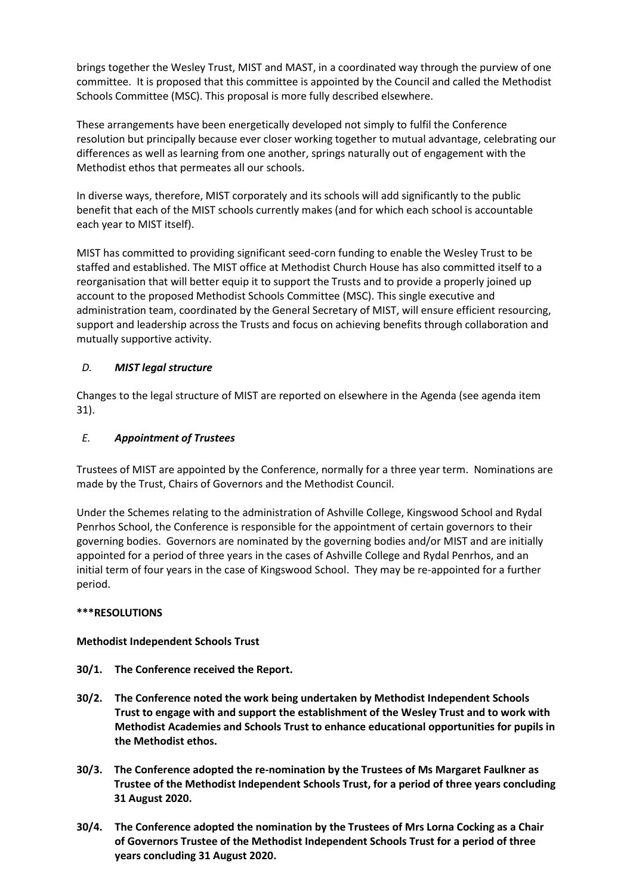brings together the Wesley Trust, MIST and MAST, in a coordinated way through the purview of one committee. It is proposed that this committee is appointed by the Council and called the Methodist Schools Committee (MSC). This proposal is more fully described elsewhere.

These arrangements have been energetically developed not simply to fulfil the Conference resolution but principally because ever closer working together to mutual advantage, celebrating our differences as well as learning from one another, springs naturally out of engagement with the Methodist ethos that permeates all our schools.

In diverse ways, therefore, MIST corporately and its schools will add significantly to the public benefit that each of the MIST schools currently makes (and for which each school is accountable each year to MIST itself).

MIST has committed to providing significant seed-corn funding to enable the Wesley Trust to be staffed and established. The MIST office at Methodist Church House has also committed itself to a reorganisation that will better equip it to support the Trusts and to provide a properly joined up account to the proposed Methodist Schools Committee (MSC). This single executive and administration team, coordinated by the General Secretary of MIST, will ensure efficient resourcing, support and leadership across the Trusts and focus on achieving benefits through collaboration and mutually supportive activity.

### *D. MIST legal structure*

Changes to the legal structure of MIST are reported on elsewhere in the Agenda (see agenda item 31).

# *E. Appointment of Trustees*

Trustees of MIST are appointed by the Conference, normally for a three year term. Nominations are made by the Trust, Chairs of Governors and the Methodist Council.

Under the Schemes relating to the administration of Ashville College, Kingswood School and Rydal Penrhos School, the Conference is responsible for the appointment of certain governors to their governing bodies. Governors are nominated by the governing bodies and/or MIST and are initially appointed for a period of three years in the cases of Ashville College and Rydal Penrhos, and an initial term of four years in the case of Kingswood School. They may be re-appointed for a further period.

### **\*\*\*RESOLUTIONS**

### **Methodist Independent Schools Trust**

- **30/1. The Conference received the Report.**
- **30/2. The Conference noted the work being undertaken by Methodist Independent Schools Trust to engage with and support the establishment of the Wesley Trust and to work with Methodist Academies and Schools Trust to enhance educational opportunities for pupils in the Methodist ethos.**
- **30/3. The Conference adopted the re-nomination by the Trustees of Ms Margaret Faulkner as Trustee of the Methodist Independent Schools Trust, for a period of three years concluding 31 August 2020.**
- **30/4. The Conference adopted the nomination by the Trustees of Mrs Lorna Cocking as a Chair of Governors Trustee of the Methodist Independent Schools Trust for a period of three years concluding 31 August 2020.**